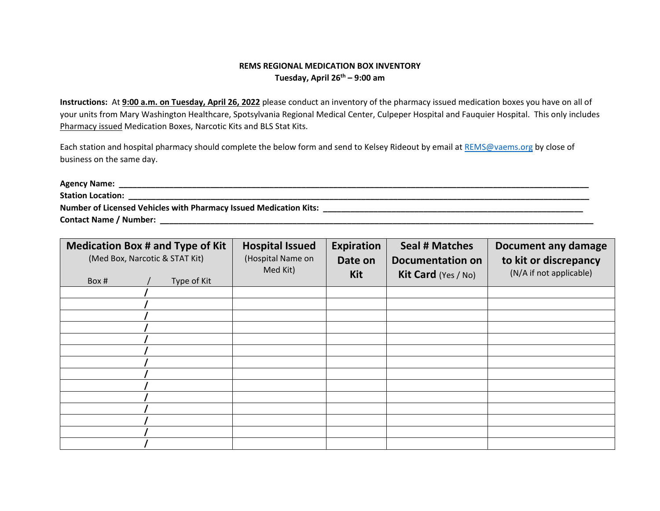## **REMS REGIONAL MEDICATION BOX INVENTORY Tuesday, April 26th – 9:00 am**

**Instructions:** At **9:00 a.m. on Tuesday, April 26, 2022** please conduct an inventory of the pharmacy issued medication boxes you have on all of your units from Mary Washington Healthcare, Spotsylvania Regional Medical Center, Culpeper Hospital and Fauquier Hospital. This only includes Pharmacy issued Medication Boxes, Narcotic Kits and BLS Stat Kits.

Each station and hospital pharmacy should complete the below form and send to Kelsey Rideout by email at [REMS@vaems.org](mailto:REMS@vaems.org) by close of business on the same day.

| <b>Agency Name:</b>                                                      |  |
|--------------------------------------------------------------------------|--|
| <b>Station Location:</b>                                                 |  |
| <b>Number of Licensed Vehicles with Pharmacy Issued Medication Kits:</b> |  |
| <b>Contact Name / Number:</b>                                            |  |

| <b>Medication Box # and Type of Kit</b><br>(Med Box, Narcotic & STAT Kit)<br>Type of Kit<br>Box # | <b>Hospital Issued</b><br>(Hospital Name on<br>Med Kit) | <b>Expiration</b><br>Date on<br>Kit | <b>Seal # Matches</b><br><b>Documentation on</b><br><b>Kit Card</b> (Yes / No) | Document any damage<br>to kit or discrepancy<br>(N/A if not applicable) |
|---------------------------------------------------------------------------------------------------|---------------------------------------------------------|-------------------------------------|--------------------------------------------------------------------------------|-------------------------------------------------------------------------|
|                                                                                                   |                                                         |                                     |                                                                                |                                                                         |
|                                                                                                   |                                                         |                                     |                                                                                |                                                                         |
|                                                                                                   |                                                         |                                     |                                                                                |                                                                         |
|                                                                                                   |                                                         |                                     |                                                                                |                                                                         |
|                                                                                                   |                                                         |                                     |                                                                                |                                                                         |
|                                                                                                   |                                                         |                                     |                                                                                |                                                                         |
|                                                                                                   |                                                         |                                     |                                                                                |                                                                         |
|                                                                                                   |                                                         |                                     |                                                                                |                                                                         |
|                                                                                                   |                                                         |                                     |                                                                                |                                                                         |
|                                                                                                   |                                                         |                                     |                                                                                |                                                                         |
|                                                                                                   |                                                         |                                     |                                                                                |                                                                         |
|                                                                                                   |                                                         |                                     |                                                                                |                                                                         |
|                                                                                                   |                                                         |                                     |                                                                                |                                                                         |
|                                                                                                   |                                                         |                                     |                                                                                |                                                                         |